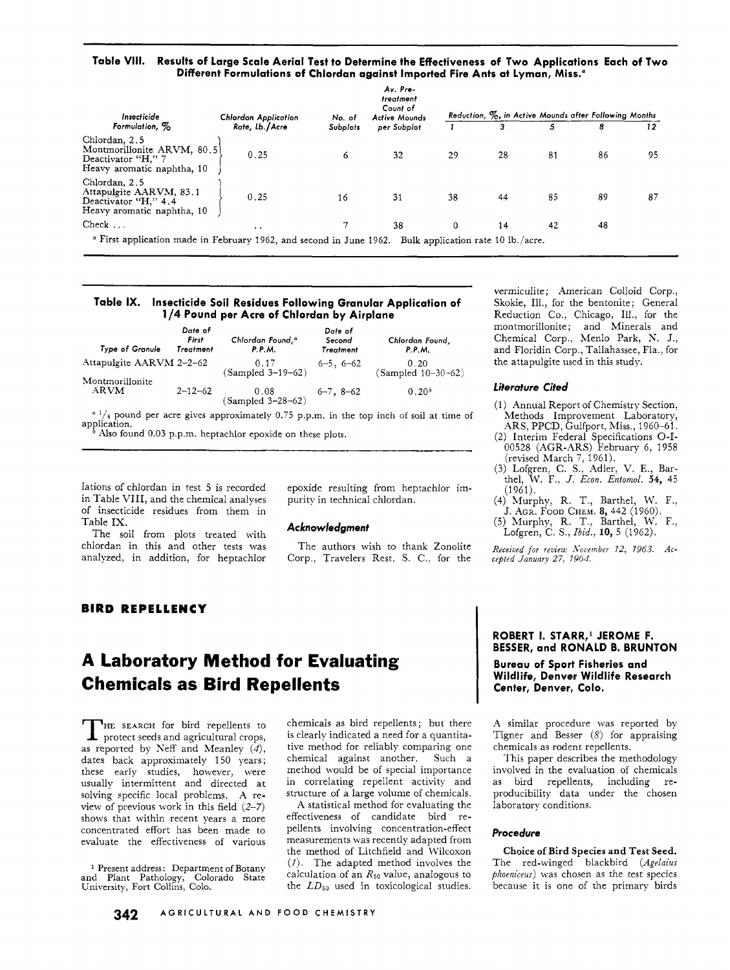**Table VIII. Results of Large Scale Aerial Test to Determine the Effectiveness of Two Applications Each of Two Different Formulations of Chlordan against Imported Fire Ants at Lyman, Miss."** 

| Insecticide<br>Formulation, %                                                                   | Chlordan Application<br>Rate, Lb./Acre | No. of<br>Subplots | Av. Pre-<br>treatment<br>Count of<br><b>Active Mounds</b><br>per Subplot |    |                                    | 5  | Reduction, %, in Active Mounds after Following Months<br>8 | 12 |
|-------------------------------------------------------------------------------------------------|----------------------------------------|--------------------|--------------------------------------------------------------------------|----|------------------------------------|----|------------------------------------------------------------|----|
| Chlordan, 2.5<br>Montmorillonite ARVM, 80.5<br>Deactivator "H," 7<br>Heavy aromatic naphtha, 10 | 0.25                                   | 6                  | 32                                                                       | 29 | 28                                 | 81 | 86                                                         | 95 |
| Chlordan, 2.5<br>Attapulgite AARVM, 83.1<br>Deactivator "H," 4.4<br>Heavy aromatic naphtha, 10  | 0.25                                   | 16                 | 31                                                                       | 38 | 44                                 | 85 | 89                                                         | 87 |
| $Check \dots$                                                                                   | $\cdot$ $\cdot$                        |                    | 38                                                                       | 0  | 14                                 | 42 | 48                                                         |    |
| <sup>a</sup> First application made in February 1962, and second in June 1962.                  |                                        |                    |                                                                          |    | Bulk application rate 10 lb./acre. |    |                                                            |    |

#### **Table IX. Insecticide Soil Residues Following Granular Application of 1 /4 Pound per Acre of Chlordan by Airplane**

| Type of Granule          | Date of<br>First<br>Treatment | Chlordan Found, <sup>a</sup><br><b>P.P.M.</b> | Date of<br>Second<br>Treatment | Chlordan Found,<br><b>P.P.M.</b>                                                           |
|--------------------------|-------------------------------|-----------------------------------------------|--------------------------------|--------------------------------------------------------------------------------------------|
| Attapulgite AARVM 2-2-62 |                               | 0.17<br>(Sampled 3-19-62)                     | $6 - 5$ , $6 - 62$             | 0.20<br>$(Sampled 10-30-62)$                                                               |
| Montmorillonite          |                               |                                               |                                |                                                                                            |
| ARVM                     | $2 - 12 - 62$                 | 0.08<br>$(Sampled 3-28-62)$                   | $6 - 7$ , $8 - 62$             | 0.20 <sup>b</sup>                                                                          |
|                          |                               |                                               |                                | $a^{1}/i$ nound per acre gives approximately 0.75 p.p.m. in the top inch of soil at time c |

gives approximately 0.75 p.p.m. in the top inch of soil at time of Also found 0.03 p.p.m. heptachlor epoxide on these plots. application.

Iations of chlordan in test 5 is recorded in Table VIII, and the chemical analyses of insecticide residues from them in Table IX.

The soil from plots treated with chlordan in this and other tests was The authors wish to thank Zonolite analyzed, in addition, for heptachlor Corp., Travelers Rest, S. C., for the

epoxide resulting from heptachlor impurity in technical chlordan.

## **Acknowledgment**

Corp., Travelers Rest, S. C., for the

vermiculite; American Colloid Corp., Skokie, Ill., for the bentonite; General Reduction Co., Chicago, Ill., for the montmorillonite; and Minerals and Chemical Corp., Menlo Park, N. J., and Floridin Corp., Tallahassee, Fla., for the attapulgite used in this study.

#### *Literoture* **Cited**

- (1) Annual Report of Chemistry Section, Methods Improvement Laboratory, ARS, PPCD, Gulfport, Miss., 1960-61.
- (2) Interim Federal Specifications O-I-00528 (AGR-ARS) February 6, 1958 (revised March 7, 1961).
- (3) Lofgren, C. S., Adler, V. E., Barthel, W. F.. *J. Econ. Entomol.* **54,** 45 (1961).
- (4) Murphy, R. T., Barthel, W. F.:
- J. AGR. FOOD CHEM. 8, 442 (1960).
- *(5)* Murphy, R. T.. Barthel, W. F., Lofgren, C. S., *Zbid.,* **10,** 5 (1962).

Received for review November 12, 1963. Ac*ce#ied January 27. 1964.* 

## **BIRD REPELLENCY**

# **A Laboratory Method for Evaluating Chemicals as Bird Repellents**

THE SEARCH for bird repellents to protect seeds and agricultural crops, as reported by Neff and Meanley *(4),*  dates back approximately 150 years ; these early studies, however, were usually intermittent and directed at solving specific local problems. A review of previous work in this field (2-7) shows that within recent years a more concentrated effort has been made to evaluate the effectiveness of various

Present address: Department of Botany and Plant Pathology, Colorado State University, Fort Collins, Colo.

chemicals as bird repellents ; but there is clearly indicated a need for a quantitative method for reliably comparing one chemical against another. Such a method would be of special importance in correlating repellent activity and structure of a large volume of chemicals.

A statistical method for evaluating the effectiveness of candidate bird repellents involving concentration-effect measurements was recently adapted from the method of Litchfield and Wilcoxon (7). The adapted method involves the calculation of an *R5o* value, analogous to the *LD50* used in toxicological studies.

## **ROBERT 1. STARR,' JEROME F. BESSER, and RONALD B. BRUNTON**

**Bureau of Sport Fisheries and Wildlife, Denver Wildlife Research Center, Denver, Colo.** 

A similar procedure was reported by Tigner and Besser *(8)* for appraising chemicals as rodent repellents.

This paper describes the methodology involved in the evaluation of chemicals as bird repellents, including reproducibility data under the chosen laboratory conditions.

#### **Procedure**

**Choice of Bird Species and Test Seed.**  The red-winged blackbird *(Agelaius phoeniceus)* was chosen as the test species because it is one of the primary birds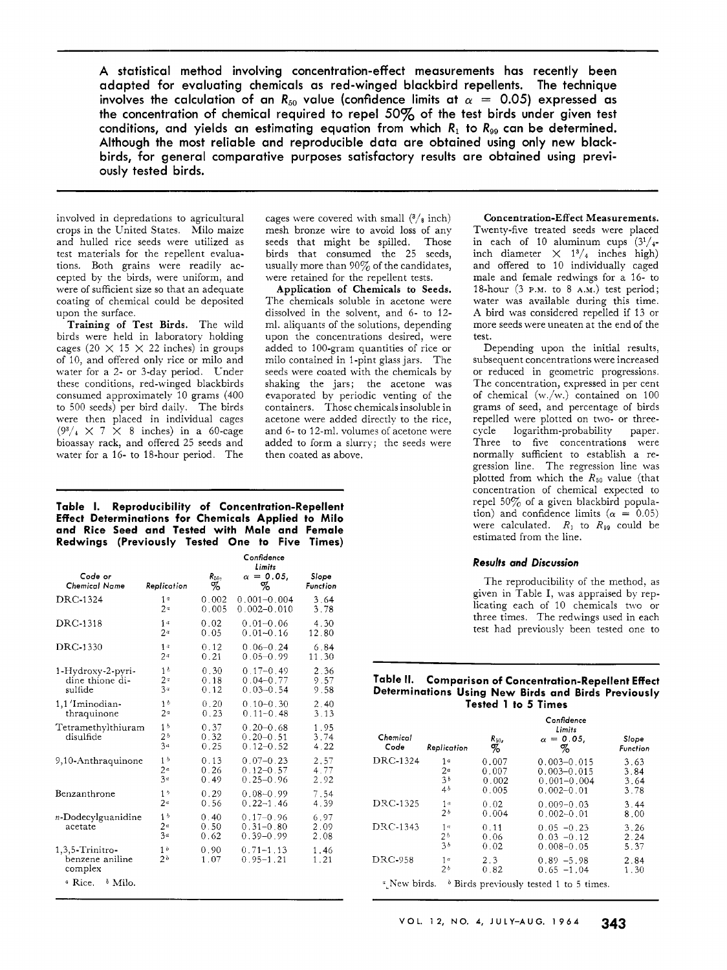A statistical method involving concentration-effect measurements has recently been adapted for evaluating chemicals as red-winged blackbird repellents. The technique involves the calculation of an  $R_{50}$  value (confidence limits at  $\alpha = 0.05$ ) expressed as the concentration of chemical required to repel *50%* of the test birds under given test conditions, and yields an estimating equation from which  $R_1$  to  $R_{99}$  can be determined. Although the most reliable and reproducible data are obtained using only new blackbirds, for general comparative purposes satisfactory results are obtained using previously tested birds.

involved in depredations to agricultural crops in the United States. Milo maize and hulled rice seeds were utilized as test materials for the repellent evaluations. Both grains were readily accepted by the birds, were uniform, and were of sufficient size so that an adequate coating of chemical could be deposited upon the surface.

Training of Test Birds. The wild birds were held in laboratory holding cages (20  $\times$  15  $\times$  22 inches) in groups of 10, and offered only rice or milo and water for a 2- or 3-day period. Under these conditions, red-winged blackbirds consumed approximately 10 grams (400 to 500 seeds) per bird daily. The birds were then placed in individual cages  $(9^3/4 \times 7 \times 8$  inches) in a 60-cage bioassay rack, and offered 25 seeds and water for a 16- to 18-hour period. The cages were covered with small **(3/g** inch) mesh bronze wire to avoid loss of any seeds that might be spilled. Those birds that consumed the 25 seeds, usually more than 90% of the candidates, were retained for the repellent tests.

Application **of** Chemicals to Seeds. The chemicals soluble in acetone were dissolved in the solvent, and 6- to 12 ml. aliquants of the solutions, depending upon the concentrations desired, were added to 100-gram quantities of rice or milo contained in 1-pint glass jars. The seeds were coated with the chemicals by shaking the jars; the acetone was evaporated by periodic venting of the containers. Those chemicals insoluble in acetone were added directly to the rice, and 6- to 12-ml. volumes of acetone were added to form a slurry; the seeds were then coated as above.

## **Table 1. Reproducibility of Concentration-Repellent Effect Determinations for Chemicals Applied to Milo and Rice Seed and Tested with Male and Female Redwings (Previously Tested One to Five Times)**

|                                               |                                                    |                      | Confidence<br>Limits                            |                      |
|-----------------------------------------------|----------------------------------------------------|----------------------|-------------------------------------------------|----------------------|
| Code or                                       | Replication                                        | $R_{50},$            | $\alpha = 0.05$ ,                               | Slope                |
| Chemical Name                                 |                                                    | Z                    | z                                               | Function             |
| DRC-1324                                      | 1 <sup>a</sup>                                     | 0.002                | $0.001 - 0.004$                                 | 3.64                 |
|                                               | 2 <sup>a</sup>                                     | 0.005                | $0.002 - 0.010$                                 | 3.78                 |
| DRC-1318                                      | 1a                                                 | 0.02                 | $0.01 - 0.06$                                   | 4.30                 |
|                                               | 2#                                                 | 0.05                 | $0.01 - 0.16$                                   | 12.80                |
| <b>DRC-1330</b>                               | 1 <sup>a</sup>                                     | 0.12                 | $0.06 - 0.24$                                   | 6.84                 |
|                                               | 2 <sup>a</sup>                                     | 0.21                 | $0.05 - 0.99$                                   | 11.30                |
| 1-Hydroxy-2-pyri-                             | 1 <sup>b</sup>                                     | 0.30                 | $0.17 - 0.49$                                   | 2.36                 |
| dine thione di-                               | $2^{\alpha}$                                       | 0.18                 | $0.04 - 0.77$                                   | 9.57                 |
| sulfide                                       | 3a                                                 | 0.12                 | $0.03 - 0.54$                                   | 9.58                 |
| 1,1 'Iminodian-                               | 1 <sub>b</sub>                                     | 0.20                 | $0.10 - 0.30$                                   | 2.40                 |
| thraquinone                                   | 2 <sup>a</sup>                                     | 0.23                 | $0.11 - 0.48$                                   | 3.13                 |
| Tetramethylthiuram<br>disulfide               | 1 <sub>b</sub><br>2 <sup>b</sup><br>3 <sup>a</sup> | 0.37<br>0.32<br>0.25 | $0.20 - 0.68$<br>$0.20 - 0.51$<br>$0.12 - 0.52$ | 1.95<br>3.74<br>4.22 |
| 9,10-Anthraquinone                            | 1 <sup>b</sup>                                     | 0.13                 | $0.07 - 0.23$                                   | 2.57                 |
|                                               | 2 <sup>a</sup>                                     | 0.26                 | $0.12 - 0.57$                                   | 4.77                 |
|                                               | 3a                                                 | 0.49                 | $0.25 - 0.96$                                   | 2.92                 |
| Benzanthrone                                  | 1 <sub>b</sub>                                     | 0.29                 | $0.08 - 0.99$                                   | 7.54                 |
|                                               | 2 <sup>a</sup>                                     | 0.56                 | $0.22 - 1.46$                                   | 4.39                 |
| n-Dodecylguanidine<br>acetate                 | 15<br>2 <sup>a</sup><br>3α                         | 0.40<br>0.50<br>0.62 | $0.17 - 0.96$<br>$0.31 - 0.80$<br>$0.39 - 0.99$ | 6.97<br>2.09<br>2.08 |
| 1,3,5-Trinitro-<br>benzene aniline<br>complex | 1 <sub>b</sub><br>2 <sub>b</sub>                   | 0.90<br>1.07         | $0.71 - 1.13$<br>$0.95 - 1.21$                  | 1.46<br>1.21         |
| <sup>4</sup> Rice.<br><sup>b</sup> Milo.      |                                                    |                      |                                                 |                      |

Concentration-Effect Measurements. Twenty-five treated seeds were placed in each of 10 aluminum cups  $(3^{1}/_{4}$ inch diameter  $\times$   $1^{3}/_{4}$  inches high) and offered to 10 individually caged male and female redwings for a 16- to 18-hour (3 P.M. to 8 **A.M.)** test period; water was available during this time. **A** bird was considered repelled if 13 or more seeds were uneaten at the end of the test.

Depending upon the initial results, subsequent concentrations were increased or reduced in geometric progressions. The concentration, expressed in per cent of chemical **(w./w.)** contained on 100 grams of seed, and percentage of birds repelled were plotted on two- or three-<br>cycle logarithm-probability paper logarithm-probability paper. Three to five concentrations were normally sufficient to establish a regression line. The regression line was plotted from which the  $R_{50}$  value (that concentration of chemical expected to repel 50% of a given blackbird population) and confidence limits  $(\alpha = 0.05)$ were calculated.  $R_1$  to  $R_{99}$  could be estimated from the line.

## **Results** *and Discussion*

The reproducibility of the method, as given in Table I, was appraised by replicating each of 10 chemicals two or three times. The redwings used in each test had previously been tested one to

#### **Table II. Comparison of Concentration-Repellent Effect Determinations Using New Birds and Birds Previously Tested 1 to 5 Times**

| Chemical<br>Code | Replication    | $R_{50}$<br>% | Confidence<br>Limits<br>$\alpha = 0.05$ .<br>Z,   | Slope<br>Function |
|------------------|----------------|---------------|---------------------------------------------------|-------------------|
| DRC-1324         | 1 <sub>a</sub> | 0.007         | $0.003 - 0.015$                                   | 3.63              |
|                  | 2 <sup>a</sup> | 0.007         | $0.003 - 0.015$                                   | 3.84              |
|                  | 36             | 0.002         | $0.001 - 0.004$                                   | 3.64              |
|                  | 4 <sup>b</sup> | 0.005         | $0.002 - 0.01$                                    | 3.78              |
| DRC-1325         | 1 <sup>a</sup> | 0.02          | $0.009 - 0.03$                                    | 3.44              |
|                  | 26             | 0.004         | $0.002 - 0.01$                                    | 8.00              |
| DRC-1343         | 1 <sup>a</sup> | 0.11          | $0.05 - 0.23$                                     | 3.26              |
|                  | 2 <sub>b</sub> | 0.06          | $0.03 - 0.12$                                     | 2.24              |
|                  | 36             | 0.02          | $0.008 - 0.05$                                    | 5.37              |
| DRC-958          | 1 <sup>a</sup> | 2.3           | $0.89 - 5.98$                                     | 2.84              |
|                  | 2 <sub>b</sub> | 0.82          | $0.65 -1.04$                                      | 1.30              |
| 4 New birds      |                |               | <sup>b</sup> Birds previously tested 1 to 5 times |                   |

<sup>a</sup> New birds. b Birds previously tested 1 to 5 times.